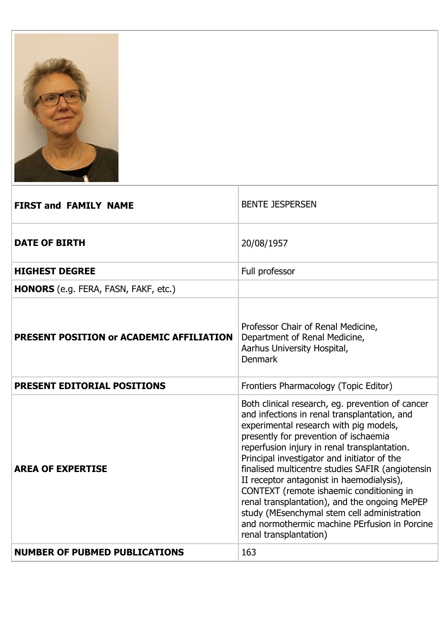

| <b>FIRST and FAMILY NAME</b>                | <b>BENTE JESPERSEN</b>                                                                                                                                                                                                                                                                                                                                                                                                                                                                                                                                                                                     |
|---------------------------------------------|------------------------------------------------------------------------------------------------------------------------------------------------------------------------------------------------------------------------------------------------------------------------------------------------------------------------------------------------------------------------------------------------------------------------------------------------------------------------------------------------------------------------------------------------------------------------------------------------------------|
| <b>DATE OF BIRTH</b>                        | 20/08/1957                                                                                                                                                                                                                                                                                                                                                                                                                                                                                                                                                                                                 |
| <b>HIGHEST DEGREE</b>                       | Full professor                                                                                                                                                                                                                                                                                                                                                                                                                                                                                                                                                                                             |
| <b>HONORS</b> (e.g. FERA, FASN, FAKF, etc.) |                                                                                                                                                                                                                                                                                                                                                                                                                                                                                                                                                                                                            |
| PRESENT POSITION or ACADEMIC AFFILIATION    | Professor Chair of Renal Medicine,<br>Department of Renal Medicine,<br>Aarhus University Hospital,<br><b>Denmark</b>                                                                                                                                                                                                                                                                                                                                                                                                                                                                                       |
| <b>PRESENT EDITORIAL POSITIONS</b>          | Frontiers Pharmacology (Topic Editor)                                                                                                                                                                                                                                                                                                                                                                                                                                                                                                                                                                      |
| <b>AREA OF EXPERTISE</b>                    | Both clinical research, eg. prevention of cancer<br>and infections in renal transplantation, and<br>experimental research with pig models,<br>presently for prevention of ischaemia<br>reperfusion injury in renal transplantation.<br>Principal investigator and initiator of the<br>finalised multicentre studies SAFIR (angiotensin<br>II receptor antagonist in haemodialysis),<br>CONTEXT (remote ishaemic conditioning in<br>renal transplantation), and the ongoing MePEP<br>study (MEsenchymal stem cell administration<br>and normothermic machine PErfusion in Porcine<br>renal transplantation) |
| <b>NUMBER OF PUBMED PUBLICATIONS</b>        | 163                                                                                                                                                                                                                                                                                                                                                                                                                                                                                                                                                                                                        |